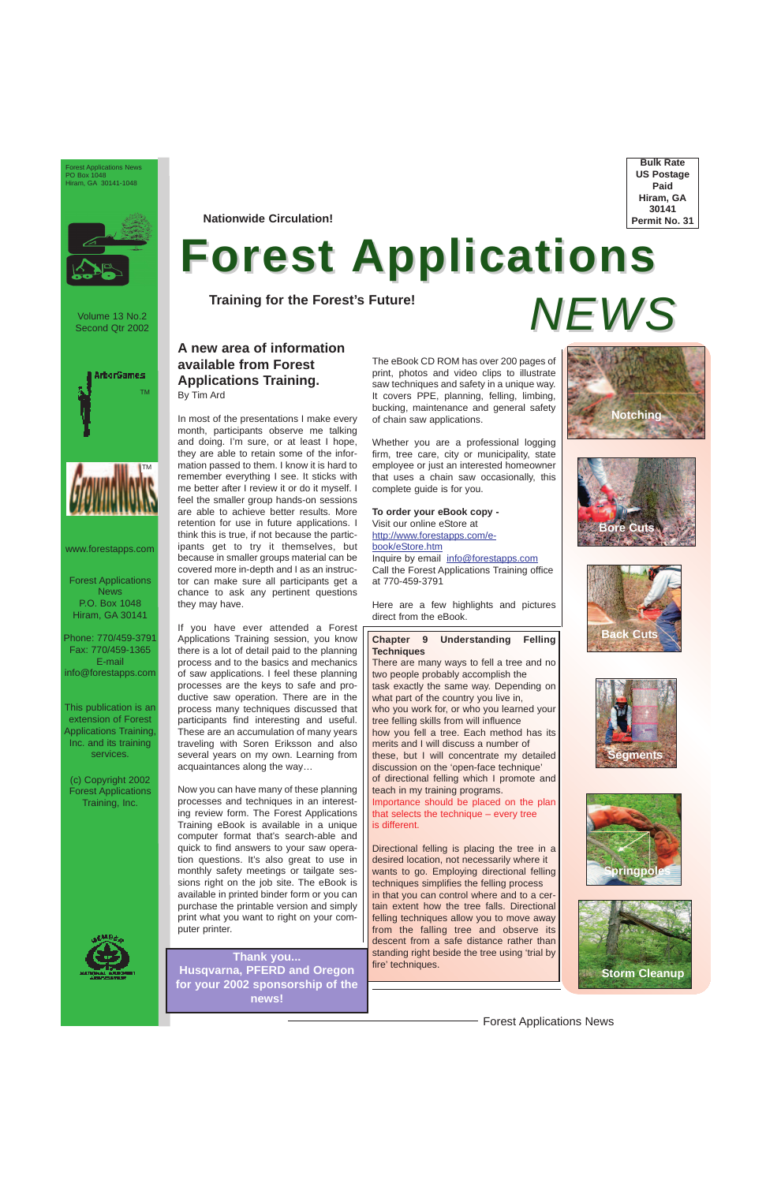Forest Applications News



Volume 13 No.2 Second Qtr 2002

Forest Applications News P.O. Box 1048 Hiram, GA 30141

Phone: 770/459-3791 Fax: 770/459-1365 E-mail info@forestapps.com

This publication is an extension of Forest Applications Training, Inc. and its training services.

(c) Copyright 2002 Forest Applications Training, Inc.



**Bulk Rate US Postage Paid Hiram, GA 30141 Permit No. 31**

Forest Applications News PO Box 1048 Hiram, GA 30141-1048



**Nationwide Circulation!**

# **Forest Applications**

**Training for the Forest's Future!**

*NEWS*

**Thank you... Husqvarna, PFERD and Oregon for your 2002 sponsorship of the news!**

www.forestapps.com

## **A new area of information available from Forest Applications Training.**  By Tim Ard

In most of the presentations I make every

month, participants observe me talking and doing. I'm sure, or at least I hope, they are able to retain some of the information passed to them. I know it is hard to remember everything I see. It sticks with me better after I review it or do it myself. I feel the smaller group hands-on sessions are able to achieve better results. More retention for use in future applications. I think this is true, if not because the participants get to try it themselves, but because in smaller groups material can be covered more in-depth and I as an instructor can make sure all participants get a chance to ask any pertinent questions they may have.

If you have ever attended a Forest Applications Training session, you know there is a lot of detail paid to the planning process and to the basics and mechanics of saw applications. I feel these planning processes are the keys to safe and productive saw operation. There are in the process many techniques discussed that participants find interesting and useful. These are an accumulation of many years traveling with Soren Eriksson and also several years on my own. Learning from acquaintances along the way…

Now you can have many of these planning processes and techniques in an interesting review form. The Forest Applications Training eBook is available in a unique computer format that's search-able and quick to find answers to your saw operation questions. It's also great to use in monthly safety meetings or tailgate sessions right on the job site. The eBook is available in printed binder form or you can purchase the printable version and simply print what you want to right on your computer printer.

The eBook CD ROM has over 200 pages of print, photos and video clips to illustrate saw techniques and safety in a unique way. It covers PPE, planning, felling, limbing, bucking, maintenance and general safety of chain saw applications.

Whether you are a professional logging firm, tree care, city or municipality, state employee or just an interested homeowner that uses a chain saw occasionally, this complete guide is for you.

### **To order your eBook copy -** Visit our online eStore at http://www.forestapps.com/ebook/eStore.htm Inquire by email info@forestapps.com Call the Forest Applications Training office at 770-459-3791

Here are a few highlights and pictures direct from the eBook.

### **Chapter 9 Understanding Felling Techniques**

There are many ways to fell a tree and no two people probably accomplish the task exactly the same way. Depending on what part of the country you live in, who you work for, or who you learned your tree felling skills from will influence how you fell a tree. Each method has its merits and I will discuss a number of these, but I will concentrate my detailed discussion on the 'open-face technique' of directional felling which I promote and teach in my training programs. Importance should be placed on the plan that selects the technique – every tree is different.

Directional felling is placing the tree in a desired location, not necessarily where it wants to go. Employing directional felling techniques simplifies the felling process in that you can control where and to a certain extent how the tree falls. Directional felling techniques allow you to move away from the falling tree and observe its descent from a safe distance rather than standing right beside the tree using 'trial by fire' techniques.











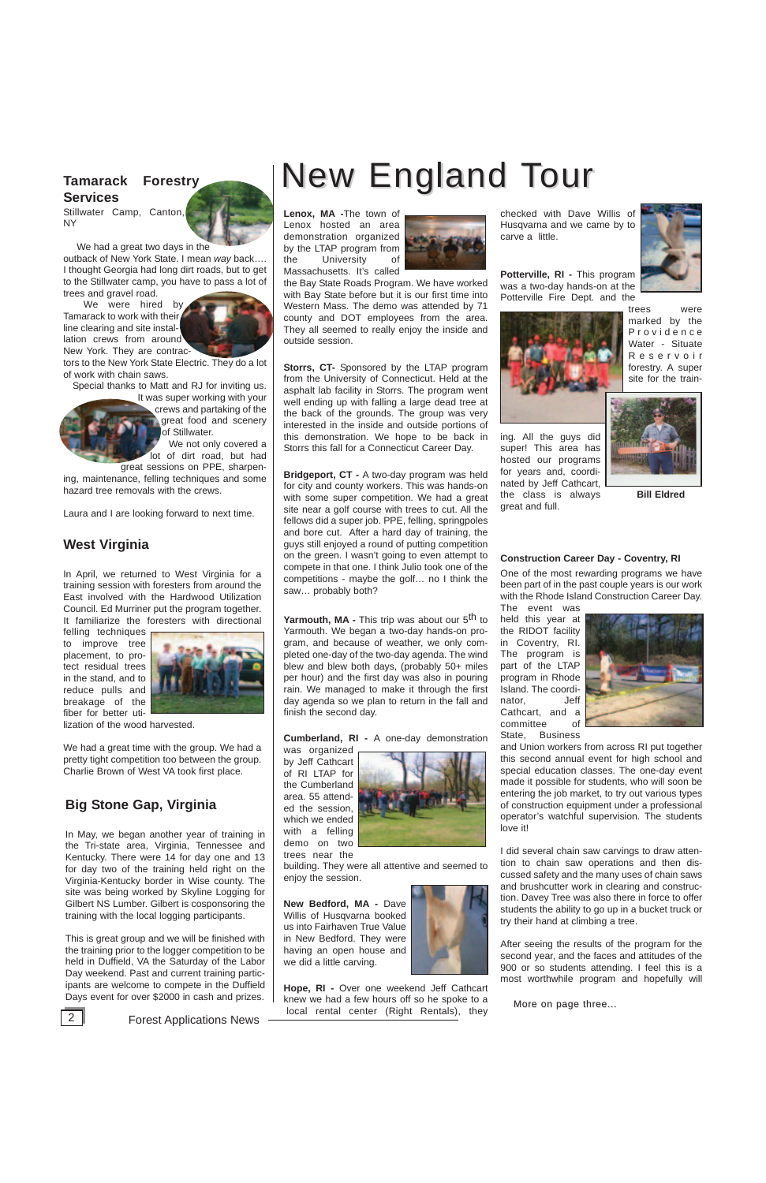checked with Dave Willis of Husqvarna and we came by to carve a little.

**Potterville, RI -** This program was a two-day hands-on at the Potterville Fire Dept. and the



trees were marked by the Providence Water - Situate Reservoir forestry. A super site for the train-

ing. All the guys did super! This area has hosted our programs for years and, coordinated by Jeff Cathcart, the class is always great and full.



### **Construction Career Day - Coventry, RI**

One of the most rewarding programs we have been part of in the past couple years is our work with the Rhode Island Construction Career Day. The event was

held this year at the RIDOT facility in Coventry, RI. The program is part of the LTAP program in Rhode Island. The coordinator, Jeff Cathcart, and a committee of State, Business



and Union workers from across RI put together this second annual event for high school and special education classes. The one-day event made it possible for students, who will soon be entering the job market, to try out various types of construction equipment under a professional operator's watchful supervision. The students love it!

I did several chain saw carvings to draw attention to chain saw operations and then dis-



After seeing the results of the program for the second year, and the faces and attitudes of the 900 or so students attending. I feel this is a most worthwhile program and hopefully will

More on page three...



**Yarmouth, MA - This trip was about our 5<sup>th</sup> to** Yarmouth. We began a two-day hands-on program, and because of weather, we only completed one-day of the two-day agenda. The wind blew and blew both days, (probably 50+ miles per hour) and the first day was also in pouring rain. We managed to make it through the first day agenda so we plan to return in the fall and finish the second day.

**Lenox, MA -**The town of Lenox hosted an area demonstration organized by the LTAP program from the University of Massachusetts. It's called



**Hope, RI -** Over one weekend Jeff Cathcart knew we had a few hours off so he spoke to a **2 Forest Applications News Cooking Leaf and Center (Right Rentals)**, they

the Bay State Roads Program. We have worked with Bay State before but it is our first time into Western Mass. The demo was attended by 71 county and DOT employees from the area. They all seemed to really enjoy the inside and outside session.

We had a great two days in the outback of New York State. I mean *way* back…. I thought Georgia had long dirt roads, but to get to the Stillwater camp, you have to pass a lot of trees and gravel road.

> **Storrs, CT-** Sponsored by the LTAP program from the University of Connecticut. Held at the asphalt lab facility in Storrs. The program went well ending up with falling a large dead tree at the back of the grounds. The group was very interested in the inside and outside portions of this demonstration. We hope to be back in Storrs this fall for a Connecticut Career Day.

> **Bridgeport, CT -** A two-day program was held for city and county workers. This was hands-on with some super competition. We had a great site near a golf course with trees to cut. All the fellows did a super job. PPE, felling, springpoles and bore cut. After a hard day of training, the guys still enjoyed a round of putting competition on the green. I wasn't going to even attempt to compete in that one. I think Julio took one of the competitions - maybe the golf… no I think the saw… probably both?

### **Cumberland, RI -** A one-day demonstration

was organized by Jeff Cathcart of RI LTAP for the Cumberland area. 55 attended the session, which we ended with a felling demo on two trees near the



building. They were all attentive and seemed to

enjoy the session.

**New Bedford, MA -** Dave Willis of Husqvarna booked us into Fairhaven True Value in New Bedford. They were having an open house and we did a little carving.

## **Tamarack Forestry Services**

Stillwater Camp, Canton, NY



We were hired by Tamarack to work with their line clearing and site installation crews from around New York. They are contrac-



tors to the New York State Electric. They do a lot of work with chain saws.

Special thanks to Matt and RJ for inviting us. It was super working with your crews and partaking of the great food and scenery of Stillwater.

> We not only covered a lot of dirt road, but had great sessions on PPE, sharpen-

ing, maintenance, felling techniques and some hazard tree removals with the crews.

Laura and I are looking forward to next time.

## **West Virginia**

In April, we returned to West Virginia for a training session with foresters from around the East involved with the Hardwood Utilization Council. Ed Murriner put the program together. It familiarize the foresters with directional

felling techniques to improve tree placement, to protect residual trees in the stand, and to reduce pulls and breakage of the fiber for better uti-



lization of the wood harvested.

We had a great time with the group. We had a pretty tight competition too between the group. Charlie Brown of West VA took first place.

# **Big Stone Gap, Virginia**

In May, we began another year of training in the Tri-state area, Virginia, Tennessee and Kentucky. There were 14 for day one and 13 for day two of the training held right on the Virginia-Kentucky border in Wise county. The site was being worked by Skyline Logging for Gilbert NS Lumber. Gilbert is cosponsoring the training with the local logging participants.

# New England Tour

This is great group and we will be finished with the training prior to the logger competition to be held in Duffield, VA the Saturday of the Labor Day weekend. Past and current training participants are welcome to compete in the Duffield Days event for over \$2000 in cash and prizes.

**Bill Eldred**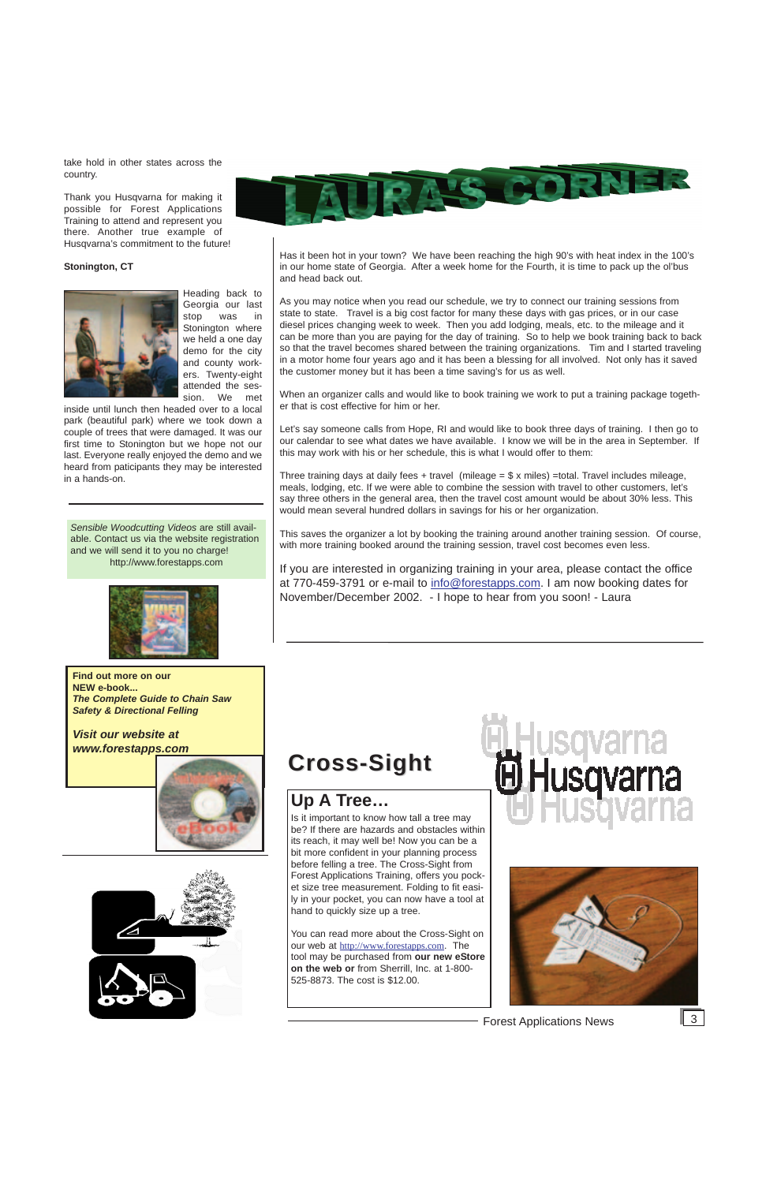take hold in other states across the country.

Thank you Husqvarna for making it possible for Forest Applications Training to attend and represent you there. Another true example of Husqvarna's commitment to the future!

### **Stonington, CT**



Heading back to Georgia our last stop was in Stonington where we held a one day demo for the city and county workers. Twenty-eight attended the session. We met

inside until lunch then headed over to a local park (beautiful park) where we took down a couple of trees that were damaged. It was our first time to Stonington but we hope not our last. Everyone really enjoyed the demo and we heard from paticipants they may be interested in a hands-on.

Has it been hot in your town? We have been reaching the high 90's with heat index in the 100's in our home state of Georgia. After a week home for the Fourth, it is time to pack up the ol'bus and head back out.

When an organizer calls and would like to book training we work to put a training package together that is cost effective for him or her.

Three training days at daily fees  $+$  travel (mileage =  $\frac{6}{3}$  x miles) =total. Travel includes mileage, meals, lodging, etc. If we were able to combine the session with travel to other customers, let's say three others in the general area, then the travel cost amount would be about 30% less. This would mean several hundred dollars in savings for his or her organization.

As you may notice when you read our schedule, we try to connect our training sessions from state to state. Travel is a big cost factor for many these days with gas prices, or in our case diesel prices changing week to week. Then you add lodging, meals, etc. to the mileage and it can be more than you are paying for the day of training. So to help we book training back to back so that the travel becomes shared between the training organizations. Tim and I started traveling in a motor home four years ago and it has been a blessing for all involved. Not only has it saved the customer money but it has been a time saving's for us as well.

Let's say someone calls from Hope, RI and would like to book three days of training. I then go to our calendar to see what dates we have available. I know we will be in the area in September. If this may work with his or her schedule, this is what I would offer to them:

This saves the organizer a lot by booking the training around another training session. Of course, with more training booked around the training session, travel cost becomes even less.

If you are interested in organizing training in your area, please contact the office at 770-459-3791 or e-mail to info@forestapps.com. I am now booking dates for November/December 2002. - I hope to hear from you soon! - Laura

# **Up A Tree…**

Is it important to know how tall a tree may be? If there are hazards and obstacles within its reach, it may well be! Now you can be a bit more confident in your planning process before felling a tree. The Cross-Sight from Forest Applications Training, offers you pocket size tree measurement. Folding to fit easily in your pocket, you can now have a tool at hand to quickly size up a tree.





You can read more about the Cross-Sight on our web at http://www.forestapps.com. The tool may be purchased from **our new eStore on the web or** from Sherrill, Inc. at 1-800- 525-8873. The cost is \$12.00.



Forest Applications News 3



# **Cross-Sight Cross-Sight**

*Sensible Woodcutting Videos* are still available. Contact us via the website registration and we will send it to you no charge! http://www.forestapps.com



**Find out more on our NEW e-book...** *The Complete Guide to Chain Saw Safety & Directional Felling* 

*Visit our website at www.forestapps.com*



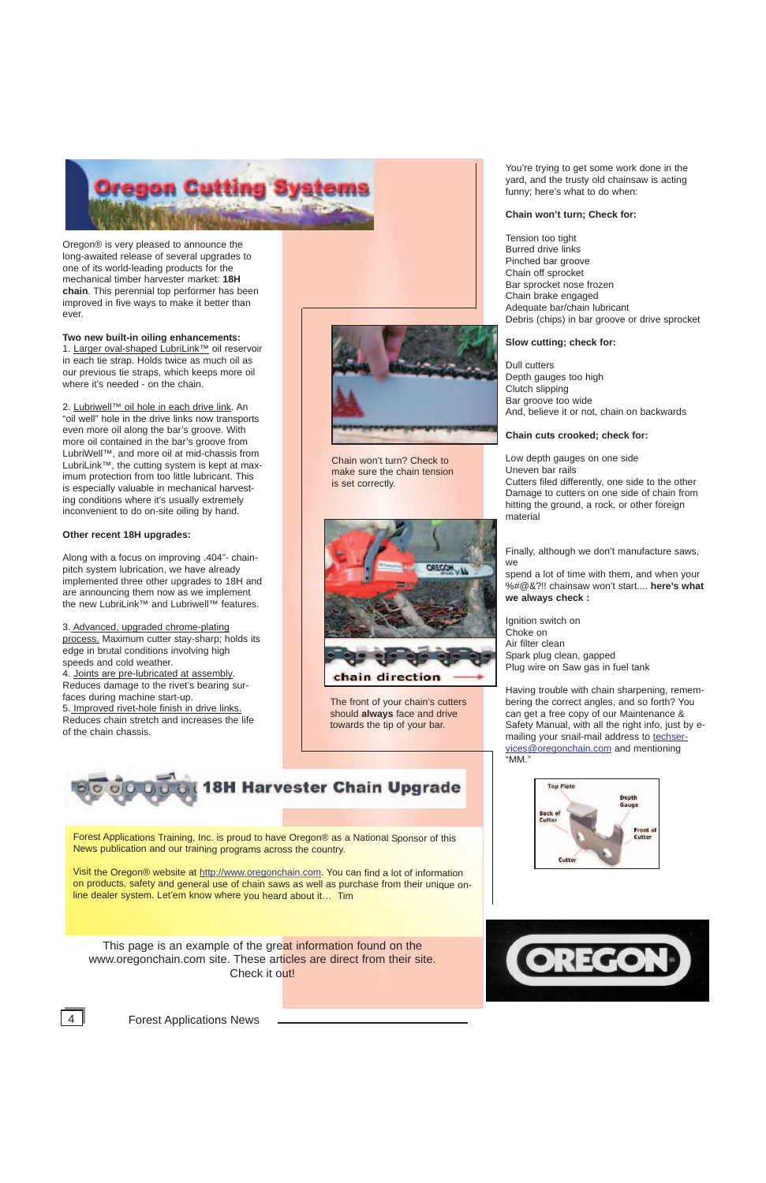

Oregon® is very pleased to announce the long-awaited release of several upgrades to one of its world-leading products for the mechanical timber harvester market: **18H chain**. This perennial top performer has been improved in five ways to make it better than ever.

### **Two new built-in oiling enhancements:**

1. Larger oval-shaped LubriLink™ oil reservoir in each tie strap. Holds twice as much oil as our previous tie straps, which keeps more oil where it's needed - on the chain.

2. Lubriwell™ oil hole in each drive link. An "oil well" hole in the drive links now transports even more oil along the bar's groove. With more oil contained in the bar's groove from LubriWell™, and more oil at mid-chassis from LubriLink™, the cutting system is kept at maximum protection from too little lubricant. This is especially valuable in mechanical harvesting conditions where it's usually extremely inconvenient to do on-site oiling by hand.

### **Other recent 18H upgrades:**

Along with a focus on improving .404"- chainpitch system lubrication, we have already implemented three other upgrades to 18H and are announcing them now as we implement the new LubriLink™ and Lubriwell™ features.

3. Advanced, upgraded chrome-plating process. Maximum cutter stay-sharp; holds its edge in brutal conditions involving high speeds and cold weather.

4. Joints are pre-lubricated at assembly. Reduces damage to the rivet's bearing surfaces during machine start-up. 5. Improved rivet-hole finish in drive links. Reduces chain stretch and increases the life of the chain chassis.



You're trying to get some work done in the yard, and the trusty old chainsaw is acting funny; here's what to do when:

### **Chain won't turn; Check for:**

This page is an example of the great information found on the www.oregonchain.com site. These articles are direct from their site. Check it out!





4 **Forest Applications News** 

Tension too tight Burred drive links Pinched bar groove Chain off sprocket Bar sprocket nose frozen Chain brake engaged Adequate bar/chain lubricant Debris (chips) in bar groove or drive sprocket

### **Slow cutting; check for:**

Dull cutters Depth gauges too high Clutch slipping Bar groove too wide And, believe it or not, chain on backwards

**Chain cuts crooked; check for:**

Low depth gauges on one side Uneven bar rails Cutters filed differently, one side to the other Damage to cutters on one side of chain from hitting the ground, a rock, or other foreign material

Finally, although we don't manufacture saws, we

spend a lot of time with them, and when your %#@&?!! chainsaw won't start.... **here's what we always check :** 

Ignition switch on Choke on Air filter clean Spark plug clean, gapped Plug wire on Saw gas in fuel tank

Having trouble with chain sharpening, remembering the correct angles, and so forth? You can get a free copy of our Maintenance & Safety Manual, with all the right info, just by emailing your snail-mail address to techservices@oregonchain.com and mentioning "MM."



Chain won't turn? Check to make sure the chain tension is set correctly.



The front of your chain's cutters should **always** face and drive towards the tip of your bar.

Forest Applications Training, Inc. is proud to have Oregon® as a National Sponsor of this News publication and our training programs across the country.



Visit the Oregon® website at http://www.oregonchain.com. You can find a lot of information on products, safety and general use of chain saws as well as purchase from their unique online dealer system. Let'em know where you heard about it… Tim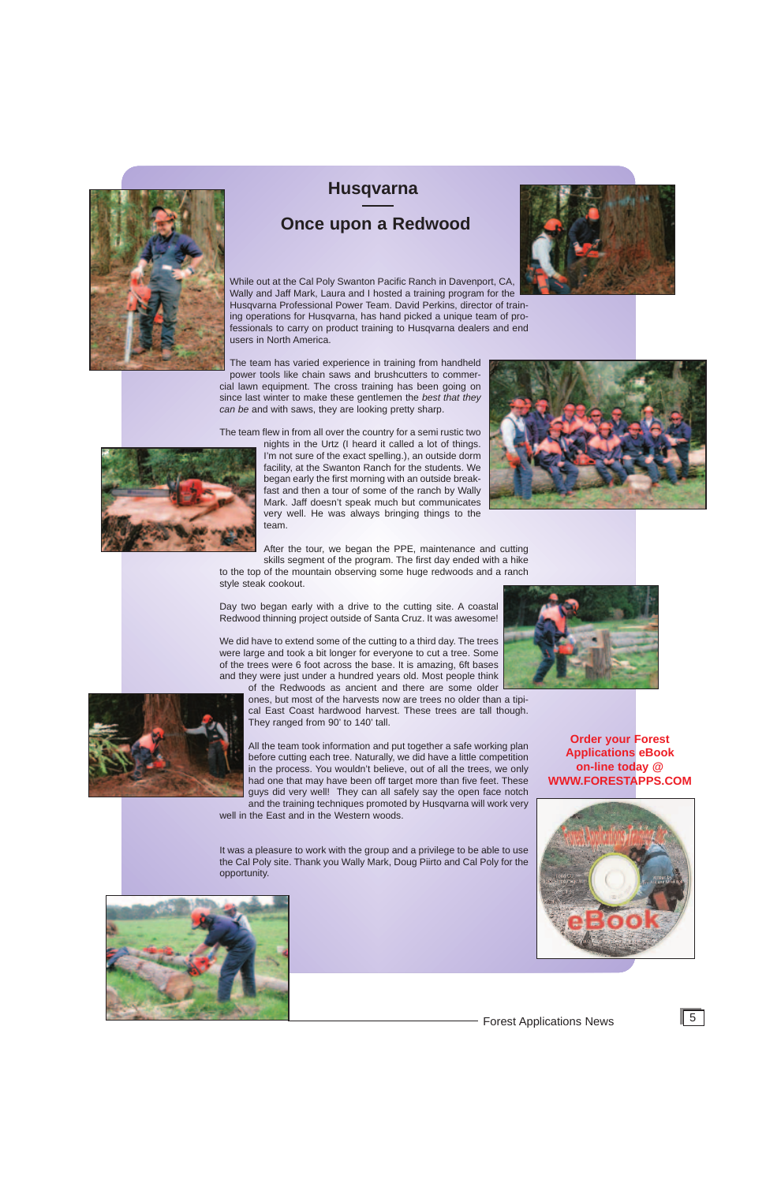**Order your Forest Applications eBook on-line today @ WWW.FORESTAPPS.COM**

While out at the Cal Poly Swanton Pacific Ranch in Davenport, CA, Wally and Jaff Mark, Laura and I hosted a training program for the Husqvarna Professional Power Team. David Perkins, director of training operations for Husqvarna, has hand picked a unique team of professionals to carry on product training to Husqvarna dealers and end users in North America.

The team has varied experience in training from handheld power tools like chain saws and brushcutters to commercial lawn equipment. The cross training has been going on since last winter to make these gentlemen the *best that they can be* and with saws, they are looking pretty sharp.

The team flew in from all over the country for a semi rustic two



nights in the Urtz (I heard it called a lot of things. I'm not sure of the exact spelling.), an outside dorm facility, at the Swanton Ranch for the students. We began early the first morning with an outside breakfast and then a tour of some of the ranch by Wally Mark. Jaff doesn't speak much but communicates very well. He was always bringing things to the team.

After the tour, we began the PPE, maintenance and cutting skills segment of the program. The first day ended with a hike



to the top of the mountain observing some huge redwoods and a ranch Day two began early with a drive to the cutting site. A coastal

style steak cookout.

Redwood thinning project outside of Santa Cruz. It was awesome!



We did have to extend some of the cutting to a third day. The trees were large and took a bit longer for everyone to cut a tree. Some of the trees were 6 foot across the base. It is amazing, 6ft bases and they were just under a hundred years old. Most people think

of the Redwoods as ancient and there are some older ones, but most of the harvests now are trees no older than a tipical East Coast hardwood harvest. These trees are tall though. They ranged from 90' to 140' tall.

All the team took information and put together a safe working plan before cutting each tree. Naturally, we did have a little competition in the process. You wouldn't believe, out of all the trees, we only had one that may have been off target more than five feet. These guys did very well! They can all safely say the open face notch and the training techniques promoted by Husqvarna will work very

well in the East and in the Western woods.









# **Husqvarna**

# **Once upon a Redwood**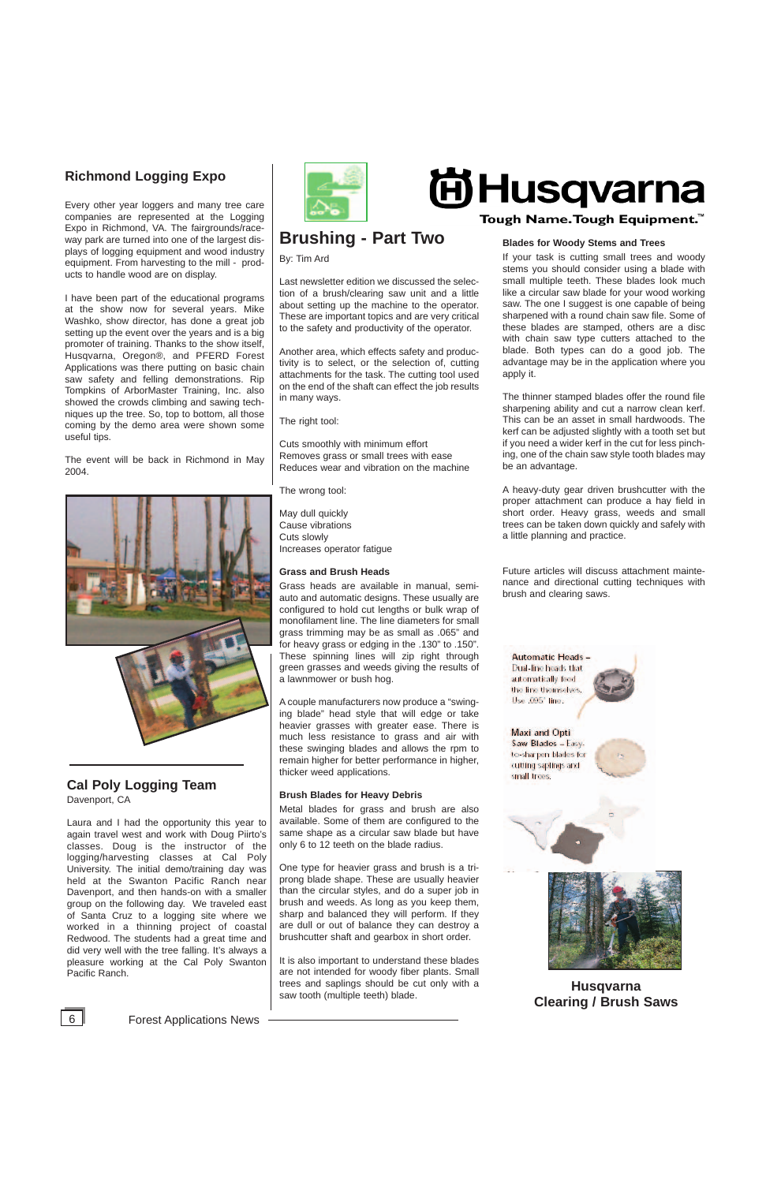6 Forest Applications News

# **Husqvarna Clearing / Brush Saws**



## **Blades for Woody Stems and Trees**

If your task is cutting small trees and woody stems you should consider using a blade with small multiple teeth. These blades look much like a circular saw blade for your wood working saw. The one I suggest is one capable of being sharpened with a round chain saw file. Some of these blades are stamped, others are a disc with chain saw type cutters attached to the blade. Both types can do a good job. The advantage may be in the application where you apply it.

The thinner stamped blades offer the round file sharpening ability and cut a narrow clean kerf. This can be an asset in small hardwoods. The kerf can be adjusted slightly with a tooth set but if you need a wider kerf in the cut for less pinching, one of the chain saw style tooth blades may be an advantage.

A heavy-duty gear driven brushcutter with the proper attachment can produce a hay field in short order. Heavy grass, weeds and small trees can be taken down quickly and safely with a little planning and practice.

Future articles will discuss attachment maintenance and directional cutting techniques with brush and clearing saws.



# **Brushing - Part Two**

By: Tim Ard

Last newsletter edition we discussed the selection of a brush/clearing saw unit and a little about setting up the machine to the operator. These are important topics and are very critical to the safety and productivity of the operator.

Another area, which effects safety and productivity is to select, or the selection of, cutting attachments for the task. The cutting tool used on the end of the shaft can effect the job results in many ways.

The right tool:

Cuts smoothly with minimum effort Removes grass or small trees with ease Reduces wear and vibration on the machine

The wrong tool:

May dull quickly Cause vibrations Cuts slowly Increases operator fatigue

### **Grass and Brush Heads**

Grass heads are available in manual, semiauto and automatic designs. These usually are configured to hold cut lengths or bulk wrap of monofilament line. The line diameters for small grass trimming may be as small as .065" and for heavy grass or edging in the .130" to .150". These spinning lines will zip right through green grasses and weeds giving the results of a lawnmower or bush hog.

A couple manufacturers now produce a "swinging blade" head style that will edge or take heavier grasses with greater ease. There is much less resistance to grass and air with these swinging blades and allows the rpm to remain higher for better performance in higher, thicker weed applications.

## **Brush Blades for Heavy Debris**

Metal blades for grass and brush are also available. Some of them are configured to the same shape as a circular saw blade but have only 6 to 12 teeth on the blade radius.

One type for heavier grass and brush is a triprong blade shape. These are usually heavier than the circular styles, and do a super job in brush and weeds. As long as you keep them, sharp and balanced they will perform. If they are dull or out of balance they can destroy a brushcutter shaft and gearbox in short order.

It is also important to understand these blades are not intended for woody fiber plants. Small trees and saplings should be cut only with a saw tooth (multiple teeth) blade.



# **Richmond Logging Expo**

Every other year loggers and many tree care companies are represented at the Logging Expo in Richmond, VA. The fairgrounds/raceway park are turned into one of the largest displays of logging equipment and wood industry equipment. From harvesting to the mill - products to handle wood are on display.

I have been part of the educational programs at the show now for several years. Mike Washko, show director, has done a great job setting up the event over the years and is a big promoter of training. Thanks to the show itself, Husqvarna, Oregon®, and PFERD Forest Applications was there putting on basic chain saw safety and felling demonstrations. Rip Tompkins of ArborMaster Training, Inc. also showed the crowds climbing and sawing techniques up the tree. So, top to bottom, all those coming by the demo area were shown some useful tips.

The event will be back in Richmond in May 2004.



## **Cal Poly Logging Team** Davenport, CA

Laura and I had the opportunity this year to again travel west and work with Doug Piirto's classes. Doug is the instructor of the logging/harvesting classes at Cal Poly University. The initial demo/training day was held at the Swanton Pacific Ranch near Davenport, and then hands-on with a smaller group on the following day. We traveled east of Santa Cruz to a logging site where we worked in a thinning project of coastal Redwood. The students had a great time and did very well with the tree falling. It's always a pleasure working at the Cal Poly Swanton Pacific Ranch.



# **尚Husqvarna** Tough Name. Tough Equipment.<sup>™</sup>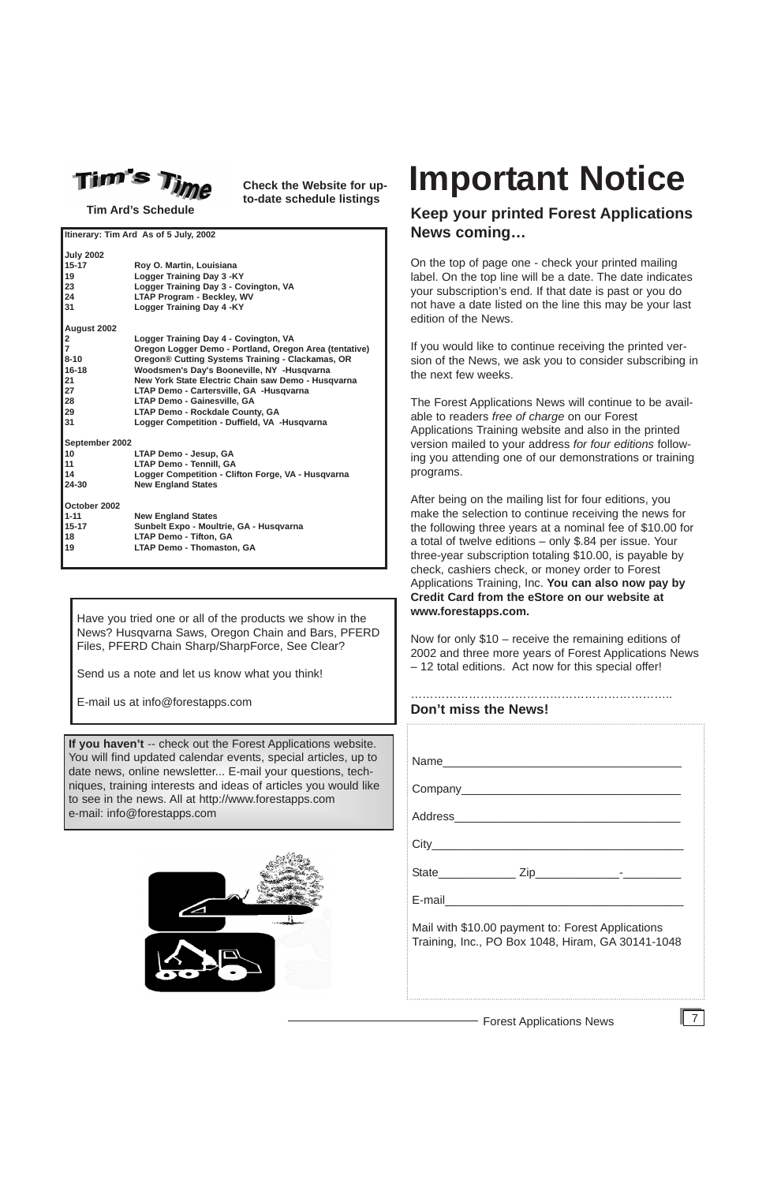## Forest Applications News

**Tim Ard's Schedule**

| Itinerary: Tim Ard As of 5 July, 2002 |                                                        |  |  |
|---------------------------------------|--------------------------------------------------------|--|--|
| <b>July 2002</b>                      |                                                        |  |  |
| $15 - 17$                             | Roy O. Martin, Louisiana                               |  |  |
| 19                                    | Logger Training Day 3 -KY                              |  |  |
| 23                                    | Logger Training Day 3 - Covington, VA                  |  |  |
| 24                                    | <b>LTAP Program - Beckley, WV</b>                      |  |  |
| 31                                    | Logger Training Day 4 - KY                             |  |  |
| August 2002                           |                                                        |  |  |
| $\mathbf{2}$                          | Logger Training Day 4 - Covington, VA                  |  |  |
| $\overline{7}$                        | Oregon Logger Demo - Portland, Oregon Area (tentative) |  |  |
| $8 - 10$                              | Oregon® Cutting Systems Training - Clackamas, OR       |  |  |
| $16 - 18$                             | Woodsmen's Day's Booneville, NY -Husqvarna             |  |  |
| 21                                    | New York State Electric Chain saw Demo - Husqvarna     |  |  |
| 27                                    | LTAP Demo - Cartersville, GA -Husqvarna                |  |  |
| 28                                    | <b>LTAP Demo - Gainesville, GA</b>                     |  |  |
| 29                                    | <b>LTAP Demo - Rockdale County, GA</b>                 |  |  |
| 31                                    | Logger Competition - Duffield, VA -Husgvarna           |  |  |
| September 2002                        |                                                        |  |  |
| 10                                    | LTAP Demo - Jesup, GA                                  |  |  |
| 11                                    | <b>LTAP Demo - Tennill, GA</b>                         |  |  |
| 14                                    | Logger Competition - Clifton Forge, VA - Husqvarna     |  |  |
| 24-30                                 | <b>New England States</b>                              |  |  |
| October 2002                          |                                                        |  |  |
| $1 - 11$                              | <b>New England States</b>                              |  |  |
| $15 - 17$                             | Sunbelt Expo - Moultrie, GA - Husqvarna                |  |  |
| 18                                    | <b>LTAP Demo - Tifton, GA</b>                          |  |  |
| 19                                    | <b>LTAP Demo - Thomaston, GA</b>                       |  |  |
|                                       |                                                        |  |  |

7

**If you haven't** -- check out the Forest Applications website. You will find updated calendar events, special articles, up to date news, online newsletter... E-mail your questions, techniques, training interests and ideas of articles you would like to see in the news. All at http://www.forestapps.com e-mail: info@forestapps.com



**Check the Website for upto-date schedule listings**

# **Keep your printed Forest Applications News coming…**

On the top of page one - check your printed mailing label. On the top line will be a date. The date indicates your subscription's end. If that date is past or you do not have a date listed on the line this may be your last edition of the News.

If you would like to continue receiving the printed version of the News, we ask you to consider subscribing in the next few weeks.

The Forest Applications News will continue to be available to readers *free of charge* on our Forest Applications Training website and also in the printed version mailed to your address *for four editions* following you attending one of our demonstrations or training programs.

After being on the mailing list for four editions, you make the selection to continue receiving the news for the following three years at a nominal fee of \$10.00 for a total of twelve editions – only \$.84 per issue. Your three-year subscription totaling \$10.00, is payable by check, cashiers check, or money order to Forest Applications Training, Inc. **You can also now pay by Credit Card from the eStore on our website at www.forestapps.com.**

Now for only \$10 – receive the remaining editions of 2002 and three more years of Forest Applications News – 12 total editions. Act now for this special offer!

Have you tried one or all of the products we show in the News? Husqvarna Saws, Oregon Chain and Bars, PFERD Files, PFERD Chain Sharp/SharpForce, See Clear?

Send us a note and let us know what you think!

………………………………………………………….. **Don't miss the News!** Name Company\_\_\_\_\_\_\_\_\_\_\_\_\_\_\_\_\_\_\_\_\_\_\_\_\_\_\_\_\_\_\_\_\_\_ Address\_\_\_\_\_\_\_\_\_\_\_\_\_\_\_\_\_\_\_\_\_\_\_\_\_\_\_\_\_\_\_\_\_\_\_ City\_\_\_\_\_\_\_\_\_\_\_\_\_\_\_\_\_\_\_\_\_\_\_\_\_\_\_\_\_\_\_\_\_\_\_\_\_\_\_



E-mail us at info@forestapps.com

| <b>State</b>                                                                                           | 7in |  |
|--------------------------------------------------------------------------------------------------------|-----|--|
| E-mail                                                                                                 |     |  |
| Mail with \$10.00 payment to: Forest Applications<br>Training, Inc., PO Box 1048, Hiram, GA 30141-1048 |     |  |

# **Important Notice**